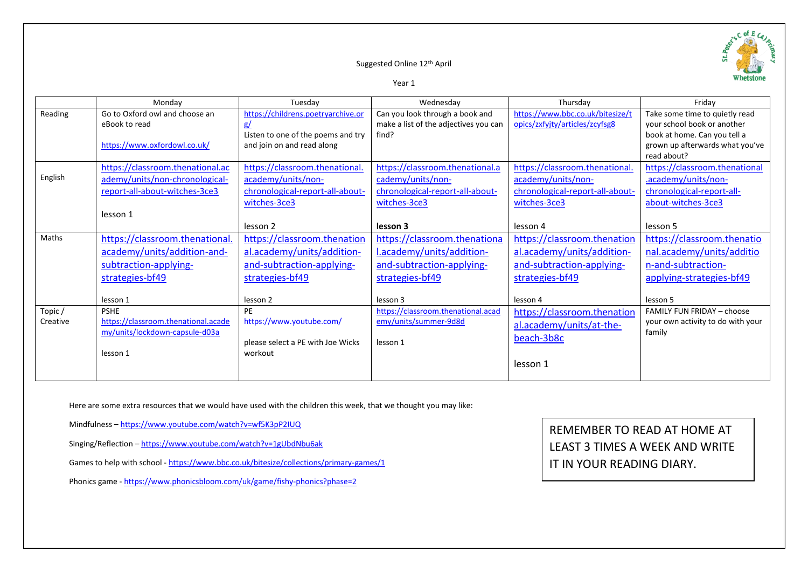# Suggested Online 12th April

Year 1

|          | Monday                              | Tuesday                            | Wednesday                             | Thursday                         | Fridav                                         |
|----------|-------------------------------------|------------------------------------|---------------------------------------|----------------------------------|------------------------------------------------|
| Reading  | Go to Oxford owl and choose an      | https://childrens.poetryarchive.or | Can you look through a book and       | https://www.bbc.co.uk/bitesize/t | Take some time to quietly read                 |
|          | eBook to read                       | g/                                 | make a list of the adjectives you can | opics/zxfyjty/articles/zcyfsg8   | your school book or another                    |
|          |                                     | Listen to one of the poems and try | find?                                 |                                  | book at home. Can you tell a                   |
|          | https://www.oxfordowl.co.uk/        | and join on and read along         |                                       |                                  | grown up afterwards what you've<br>read about? |
|          | https://classroom.thenational.ac    | https://classroom.thenational.     | https://classroom.thenational.a       | https://classroom.thenational.   | https://classroom.thenational                  |
| English  | ademy/units/non-chronological-      | academy/units/non-                 | cademy/units/non-                     | academy/units/non-               | .academy/units/non-                            |
|          | report-all-about-witches-3ce3       | chronological-report-all-about-    | chronological-report-all-about-       | chronological-report-all-about-  | chronological-report-all-                      |
|          |                                     | witches-3ce3                       | witches-3ce3                          | witches-3ce3                     | about-witches-3ce3                             |
|          | lesson 1                            |                                    |                                       |                                  |                                                |
|          |                                     | lesson 2                           | lesson 3                              | lesson 4                         | lesson 5                                       |
| Maths    | https://classroom.thenational.      | https://classroom.thenation        | https://classroom.thenationa          | https://classroom.thenation      | https://classroom.thenatio                     |
|          | academy/units/addition-and-         | al.academy/units/addition-         | l.academy/units/addition-             | al.academy/units/addition-       | nal.academy/units/additio                      |
|          | subtraction-applying-               | and-subtraction-applying-          | and-subtraction-applying-             | and-subtraction-applying-        | n-and-subtraction-                             |
|          | strategies-bf49                     | strategies-bf49                    | strategies-bf49                       | strategies-bf49                  | applying-strategies-bf49                       |
|          | lesson 1                            | lesson 2                           | lesson 3                              | lesson 4                         | lesson 5                                       |
| Topic/   | <b>PSHE</b>                         | PE                                 | https://classroom.thenational.acad    | https://classroom.thenation      | <b>FAMILY FUN FRIDAY - choose</b>              |
| Creative | https://classroom.thenational.acade | https://www.youtube.com/           | emy/units/summer-9d8d                 | al.academy/units/at-the-         | your own activity to do with your              |
|          | my/units/lockdown-capsule-d03a      |                                    |                                       | beach-3b8c                       | family                                         |
|          |                                     | please select a PE with Joe Wicks  | lesson 1                              |                                  |                                                |
|          | lesson 1                            | workout                            |                                       |                                  |                                                |
|          |                                     |                                    |                                       | lesson 1                         |                                                |

Here are some extra resources that we would have used with the children this week, that we thought you may like:

Mindfulness – <https://www.youtube.com/watch?v=wf5K3pP2IUQ>

Singing/Reflection – <https://www.youtube.com/watch?v=1gUbdNbu6ak>

Games to help with school - <https://www.bbc.co.uk/bitesize/collections/primary-games/1>

Phonics game - <https://www.phonicsbloom.com/uk/game/fishy-phonics?phase=2>

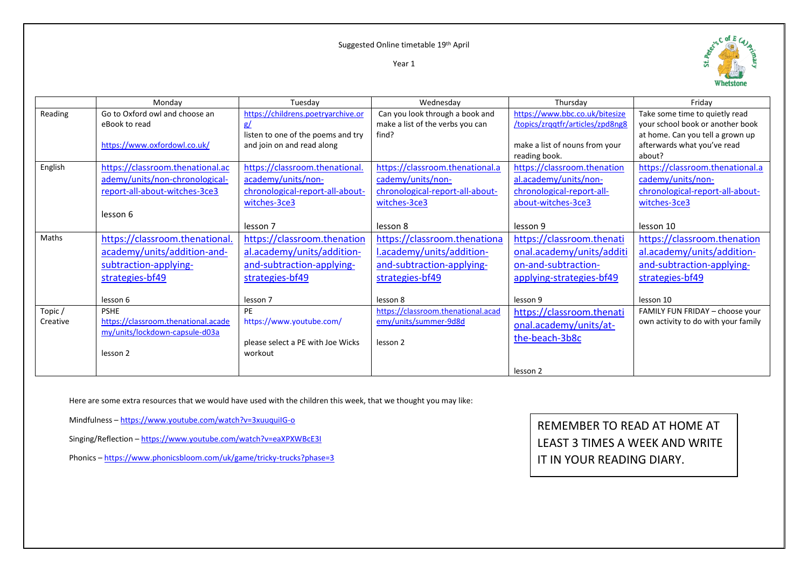Suggested Online timetable 19th April

Year 1



|          | Monday                              | Tuesday                            | Wednesday                          | Thursdav                         | Fridav                              |
|----------|-------------------------------------|------------------------------------|------------------------------------|----------------------------------|-------------------------------------|
| Reading  | Go to Oxford owl and choose an      | https://childrens.poetryarchive.or | Can you look through a book and    | https://www.bbc.co.uk/bitesize   | Take some time to quietly read      |
|          | eBook to read                       | g/                                 | make a list of the verbs you can   | /topics/zrggtfr/articles/zpd8ng8 | vour school book or another book    |
|          |                                     | listen to one of the poems and try | find?                              |                                  | at home. Can you tell a grown up    |
|          | https://www.oxfordowl.co.uk/        | and join on and read along         |                                    | make a list of nouns from your   | afterwards what you've read         |
|          |                                     |                                    |                                    | reading book.                    | about?                              |
| English  | https://classroom.thenational.ac    | https://classroom.thenational.     | https://classroom.thenational.a    | https://classroom.thenation      | https://classroom.thenational.a     |
|          | ademy/units/non-chronological-      | academy/units/non-                 | cademy/units/non-                  | al.academy/units/non-            | cademy/units/non-                   |
|          | report-all-about-witches-3ce3       | chronological-report-all-about-    | chronological-report-all-about-    | chronological-report-all-        | chronological-report-all-about-     |
|          |                                     | witches-3ce3                       | witches-3ce3                       | about-witches-3ce3               | witches-3ce3                        |
|          | lesson 6                            |                                    |                                    |                                  |                                     |
|          |                                     | lesson 7                           | lesson 8                           | lesson 9                         | lesson 10                           |
| Maths    | https://classroom.thenational.      | https://classroom.thenation        | https://classroom.thenationa       | https://classroom.thenati        | https://classroom.thenation         |
|          | academy/units/addition-and-         | al.academy/units/addition-         | l.academy/units/addition-          | onal.academy/units/additi        | al.academy/units/addition-          |
|          | subtraction-applying-               | and-subtraction-applying-          | and-subtraction-applying-          | on-and-subtraction-              | and-subtraction-applying-           |
|          | strategies-bf49                     | strategies-bf49                    | strategies-bf49                    | applying-strategies-bf49         | strategies-bf49                     |
|          |                                     |                                    |                                    |                                  |                                     |
|          | lesson 6                            | lesson 7                           | lesson 8                           | lesson 9                         | lesson 10                           |
| Topic/   | <b>PSHE</b>                         | PE                                 | https://classroom.thenational.acad | https://classroom.thenati        | FAMILY FUN FRIDAY - choose your     |
| Creative | https://classroom.thenational.acade | https://www.youtube.com/           | emy/units/summer-9d8d              | onal.academy/units/at-           | own activity to do with your family |
|          | my/units/lockdown-capsule-d03a      |                                    |                                    | the-beach-3b8c                   |                                     |
|          |                                     | please select a PE with Joe Wicks  | lesson <sub>2</sub>                |                                  |                                     |
|          | lesson 2                            | workout                            |                                    |                                  |                                     |
|          |                                     |                                    |                                    | lesson <sub>2</sub>              |                                     |

Here are some extra resources that we would have used with the children this week, that we thought you may like:

Mindfulness – <https://www.youtube.com/watch?v=3xuuquiIG-o>

Singing/Reflection – <https://www.youtube.com/watch?v=eaXPXWBcE3I>

Phonics – <https://www.phonicsbloom.com/uk/game/tricky-trucks?phase=3>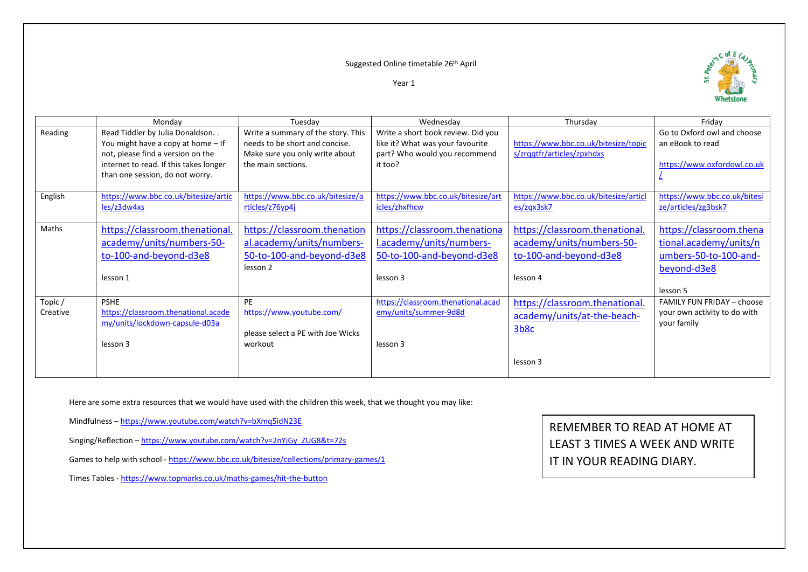## Suggested Online timetable 26th April





|                    | Monday                                                                                                                                                                                    | Tuesday                                                                                                                      | Wednesday                                                                                                          | Thursday                                                                                          | Friday                                                                                                |
|--------------------|-------------------------------------------------------------------------------------------------------------------------------------------------------------------------------------------|------------------------------------------------------------------------------------------------------------------------------|--------------------------------------------------------------------------------------------------------------------|---------------------------------------------------------------------------------------------------|-------------------------------------------------------------------------------------------------------|
| Reading            | Read Tiddler by Julia Donaldson<br>You might have a copy at home $-$ If<br>not, please find a version on the<br>internet to read. If this takes longer<br>than one session, do not worry. | Write a summary of the story. This<br>needs to be short and concise.<br>Make sure you only write about<br>the main sections. | Write a short book review. Did you<br>like it? What was your favourite<br>part? Who would you recommend<br>it too? | https://www.bbc.co.uk/bitesize/topic<br>s/zrggtfr/articles/zpxhdxs                                | Go to Oxford owl and choose<br>an eBook to read<br>https://www.oxfordowl.co.uk                        |
| English            | https://www.bbc.co.uk/bitesize/artic<br>les/z3dw4xs                                                                                                                                       | https://www.bbc.co.uk/bitesize/a<br>rticles/z76yp4j                                                                          | https://www.bbc.co.uk/bitesize/art<br>icles/zhxfhcw                                                                | https://www.bbc.co.uk/bitesize/articl<br>es/zgx3sk7                                               | https://www.bbc.co.uk/bitesi<br>ze/articles/zg3bsk7                                                   |
| Maths              | https://classroom.thenational.<br>academy/units/numbers-50-<br>to-100-and-beyond-d3e8<br>lesson 1                                                                                         | https://classroom.thenation<br>al.academy/units/numbers-<br>50-to-100-and-beyond-d3e8<br>lesson 2                            | https://classroom.thenationa<br>l.academy/units/numbers-<br>50-to-100-and-beyond-d3e8<br>lesson 3                  | https://classroom.thenational.<br>academy/units/numbers-50-<br>to-100-and-beyond-d3e8<br>lesson 4 | https://classroom.thena<br>tional.academy/units/n<br>umbers-50-to-100-and-<br>beyond-d3e8<br>lesson 5 |
| Topic/<br>Creative | <b>PSHE</b><br>https://classroom.thenational.acade<br>my/units/lockdown-capsule-d03a<br>lesson 3                                                                                          | PE<br>https://www.youtube.com/<br>please select a PE with Joe Wicks<br>workout                                               | https://classroom.thenational.acad<br>emy/units/summer-9d8d<br>lesson 3                                            | https://classroom.thenational.<br>academy/units/at-the-beach-<br>3b8c<br>lesson 3                 | <b>FAMILY FUN FRIDAY - choose</b><br>your own activity to do with<br>your family                      |

Here are some extra resources that we would have used with the children this week, that we thought you may like:

Mindfulness – <https://www.youtube.com/watch?v=bXmq5idN23E>

Singing/Reflection – [https://www.youtube.com/watch?v=2nYjGy\\_ZUG8&t=72s](https://www.youtube.com/watch?v=2nYjGy_ZUG8&t=72s)

Games to help with school - <https://www.bbc.co.uk/bitesize/collections/primary-games/1>

Times Tables - <https://www.topmarks.co.uk/maths-games/hit-the-button>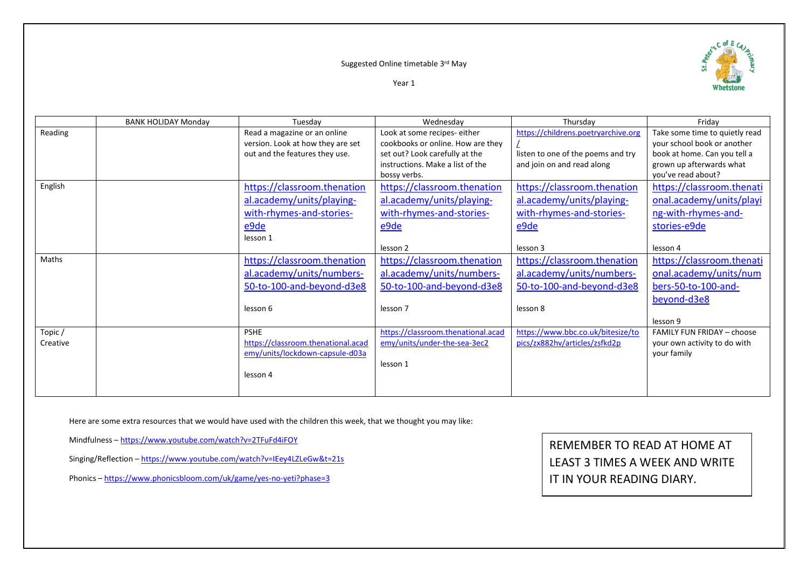#### Suggested Online timetable 3 rd May



Year 1

|          | <b>BANK HOLIDAY Monday</b> | Tuesday                            | Wednesday                          | Thursday                            | Friday                            |
|----------|----------------------------|------------------------------------|------------------------------------|-------------------------------------|-----------------------------------|
| Reading  |                            | Read a magazine or an online       | Look at some recipes- either       | https://childrens.poetryarchive.org | Take some time to quietly read    |
|          |                            | version. Look at how they are set  | cookbooks or online. How are they  |                                     | your school book or another       |
|          |                            | out and the features they use.     | set out? Look carefully at the     | listen to one of the poems and try  | book at home. Can you tell a      |
|          |                            |                                    | instructions. Make a list of the   | and join on and read along          | grown up afterwards what          |
|          |                            |                                    | bossy verbs.                       |                                     | you've read about?                |
| English  |                            | https://classroom.thenation        | https://classroom.thenation        | https://classroom.thenation         | https://classroom.thenati         |
|          |                            | al.academy/units/playing-          | al.academy/units/playing-          | al.academy/units/playing-           | onal.academy/units/playi          |
|          |                            | with-rhymes-and-stories-           | with-rhymes-and-stories-           | with-rhymes-and-stories-            | ng-with-rhymes-and-               |
|          |                            | $e$ 9de                            | e9de                               | e9de                                | stories-e9de                      |
|          |                            | lesson 1                           |                                    |                                     |                                   |
|          |                            |                                    | lesson 2                           | lesson 3                            | lesson 4                          |
| Maths    |                            | https://classroom.thenation        | https://classroom.thenation        | https://classroom.thenation         | https://classroom.thenati         |
|          |                            | al.academy/units/numbers-          | al.academy/units/numbers-          | al.academy/units/numbers-           | onal.academy/units/num            |
|          |                            | 50-to-100-and-beyond-d3e8          | 50-to-100-and-beyond-d3e8          | 50-to-100-and-beyond-d3e8           | bers-50-to-100-and-               |
|          |                            |                                    |                                    |                                     | beyond-d3e8                       |
|          |                            | lesson 6                           | lesson 7                           | lesson 8                            |                                   |
|          |                            |                                    |                                    |                                     | lesson 9                          |
| Topic/   |                            | <b>PSHE</b>                        | https://classroom.thenational.acad | https://www.bbc.co.uk/bitesize/to   | <b>FAMILY FUN FRIDAY - choose</b> |
| Creative |                            | https://classroom.thenational.acad | emy/units/under-the-sea-3ec2       | pics/zx882hv/articles/zsfkd2p       | your own activity to do with      |
|          |                            | emy/units/lockdown-capsule-d03a    |                                    |                                     | your family                       |
|          |                            |                                    | lesson 1                           |                                     |                                   |
|          |                            | lesson 4                           |                                    |                                     |                                   |
|          |                            |                                    |                                    |                                     |                                   |

Here are some extra resources that we would have used with the children this week, that we thought you may like:

Mindfulness – <https://www.youtube.com/watch?v=2TFuFd4iFOY>

Singing/Reflection – <https://www.youtube.com/watch?v=IEey4LZLeGw&t=21s>

Phonics – <https://www.phonicsbloom.com/uk/game/yes-no-yeti?phase=3>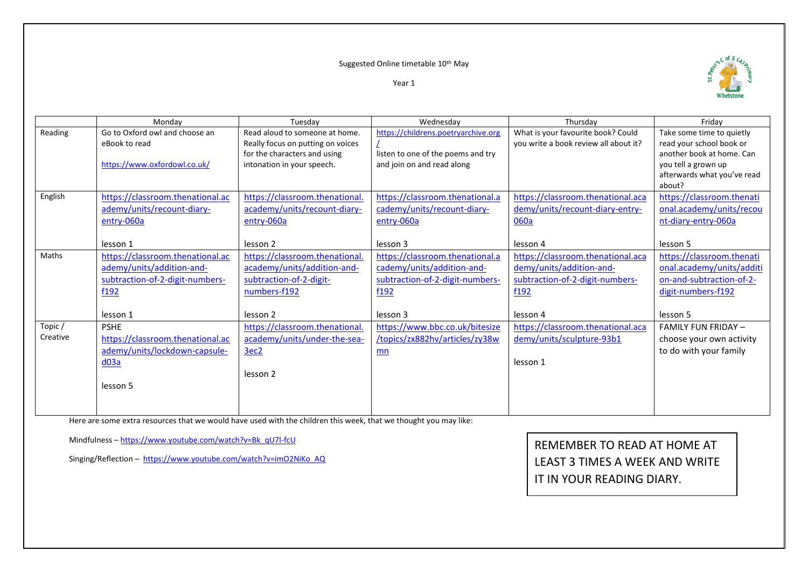## Suggested Online timetable 10<sup>th</sup> May



Year 1

|          | Monday                           | Tuesdav                           | Wednesday                           | Thursdav                              | Friday                      |
|----------|----------------------------------|-----------------------------------|-------------------------------------|---------------------------------------|-----------------------------|
| Reading  | Go to Oxford owl and choose an   | Read aloud to someone at home.    | https://childrens.poetryarchive.org | What is your favourite book? Could    | Take some time to quietly   |
|          | eBook to read                    | Really focus on putting on voices |                                     | you write a book review all about it? | read your school book or    |
|          |                                  | for the characters and using      | listen to one of the poems and try  |                                       | another book at home. Can   |
|          | https://www.oxfordowl.co.uk/     | intonation in your speech.        | and join on and read along          |                                       | you tell a grown up         |
|          |                                  |                                   |                                     |                                       | afterwards what you've read |
|          |                                  |                                   |                                     |                                       | about?                      |
| English  | https://classroom.thenational.ac | https://classroom.thenational.    | https://classroom.thenational.a     | https://classroom.thenational.aca     | https://classroom.thenati   |
|          | ademy/units/recount-diary-       | academy/units/recount-diary-      | cademy/units/recount-diary-         | demy/units/recount-diary-entry-       | onal.academy/units/recou    |
|          | entry-060a                       | entry-060a                        | entry-060a                          | 060a                                  | nt-diary-entry-060a         |
|          |                                  |                                   |                                     |                                       |                             |
|          | lesson 1                         | lesson 2                          | lesson 3                            | lesson 4                              | lesson 5                    |
| Maths    | https://classroom.thenational.ac | https://classroom.thenational.    | https://classroom.thenational.a     | https://classroom.thenational.aca     | https://classroom.thenati   |
|          | ademy/units/addition-and-        | academy/units/addition-and-       | cademy/units/addition-and-          | demy/units/addition-and-              | onal.academy/units/additi   |
|          | subtraction-of-2-digit-numbers-  | subtraction-of-2-digit-           | subtraction-of-2-digit-numbers-     | subtraction-of-2-digit-numbers-       | on-and-subtraction-of-2-    |
|          | f192                             | numbers-f192                      | f192                                | f192                                  | digit-numbers-f192          |
|          |                                  |                                   |                                     |                                       |                             |
|          | lesson 1                         | lesson 2                          | lesson 3                            | lesson 4                              | lesson 5                    |
| Topic/   | <b>PSHE</b>                      | https://classroom.thenational.    | https://www.bbc.co.uk/bitesize      | https://classroom.thenational.aca     | <b>FAMILY FUN FRIDAY -</b>  |
| Creative | https://classroom.thenational.ac | academy/units/under-the-sea-      | /topics/zx882hv/articles/zy38w      | demy/units/sculpture-93b1             | choose your own activity    |
|          | ademy/units/lockdown-capsule-    | 3ec2                              | mn                                  |                                       | to do with your family      |
|          | $d$ 03a                          |                                   |                                     | lesson 1                              |                             |
|          |                                  | lesson 2                          |                                     |                                       |                             |
|          | lesson 5                         |                                   |                                     |                                       |                             |
|          |                                  |                                   |                                     |                                       |                             |
|          |                                  |                                   |                                     |                                       |                             |

Here are some extra resources that we would have used with the children this week, that we thought you may like:

Mindfulness – [https://www.youtube.com/watch?v=Bk\\_qU7l-fcU](https://www.youtube.com/watch?v=Bk_qU7l-fcU)

Singing/Reflection – [https://www.youtube.com/watch?v=imO2NiKo\\_AQ](https://www.youtube.com/watch?v=imO2NiKo_AQ)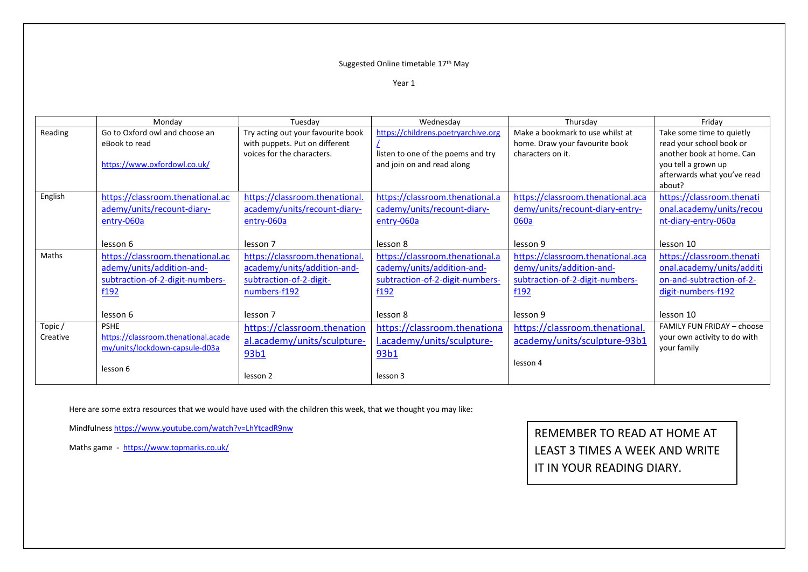## Suggested Online timetable 17<sup>th</sup> May

Year 1

|          | Monday                              | Tuesday                            | Wednesday                           | Thursdav                          | Friday                            |
|----------|-------------------------------------|------------------------------------|-------------------------------------|-----------------------------------|-----------------------------------|
| Reading  | Go to Oxford owl and choose an      | Try acting out your favourite book | https://childrens.poetryarchive.org | Make a bookmark to use whilst at  | Take some time to quietly         |
|          | eBook to read                       | with puppets. Put on different     |                                     | home. Draw your favourite book    | read your school book or          |
|          |                                     | voices for the characters.         | listen to one of the poems and try  | characters on it.                 | another book at home. Can         |
|          | https://www.oxfordowl.co.uk/        |                                    | and join on and read along          |                                   | you tell a grown up               |
|          |                                     |                                    |                                     |                                   | afterwards what you've read       |
|          |                                     |                                    |                                     |                                   | about?                            |
| English  | https://classroom.thenational.ac    | https://classroom.thenational.     | https://classroom.thenational.a     | https://classroom.thenational.aca | https://classroom.thenati         |
|          | ademy/units/recount-diary-          | academy/units/recount-diary-       | cademy/units/recount-diary-         | demy/units/recount-diary-entry-   | onal.academy/units/recou          |
|          | entry-060a                          | entry-060a                         | entry-060a                          | 060a                              | nt-diary-entry-060a               |
|          |                                     |                                    |                                     |                                   |                                   |
|          | lesson 6                            | lesson 7                           | lesson 8                            | lesson 9                          | lesson 10                         |
| Maths    | https://classroom.thenational.ac    | https://classroom.thenational.     | https://classroom.thenational.a     | https://classroom.thenational.aca | https://classroom.thenati         |
|          | ademy/units/addition-and-           | academy/units/addition-and-        | cademy/units/addition-and-          | demy/units/addition-and-          | onal.academy/units/additi         |
|          | subtraction-of-2-digit-numbers-     | subtraction-of-2-digit-            | subtraction-of-2-digit-numbers-     | subtraction-of-2-digit-numbers-   | on-and-subtraction-of-2-          |
|          | f192                                | numbers-f192                       | f192                                | f192                              | digit-numbers-f192                |
|          |                                     |                                    |                                     |                                   |                                   |
|          | lesson 6                            | lesson 7                           | lesson 8                            | lesson 9                          | lesson 10                         |
| Topic/   | <b>PSHE</b>                         | https://classroom.thenation        | https://classroom.thenationa        | https://classroom.thenational.    | <b>FAMILY FUN FRIDAY - choose</b> |
| Creative | https://classroom.thenational.acade | al.academy/units/sculpture-        | l.academy/units/sculpture-          | academy/units/sculpture-93b1      | your own activity to do with      |
|          | my/units/lockdown-capsule-d03a      |                                    |                                     |                                   | your family                       |
|          |                                     | 93b1                               | 93b1                                | lesson 4                          |                                   |
|          | lesson 6                            |                                    |                                     |                                   |                                   |
|          |                                     | lesson 2                           | lesson 3                            |                                   |                                   |

Here are some extra resources that we would have used with the children this week, that we thought you may like:

Mindfulness <https://www.youtube.com/watch?v=LhYtcadR9nw>

Maths game -<https://www.topmarks.co.uk/>